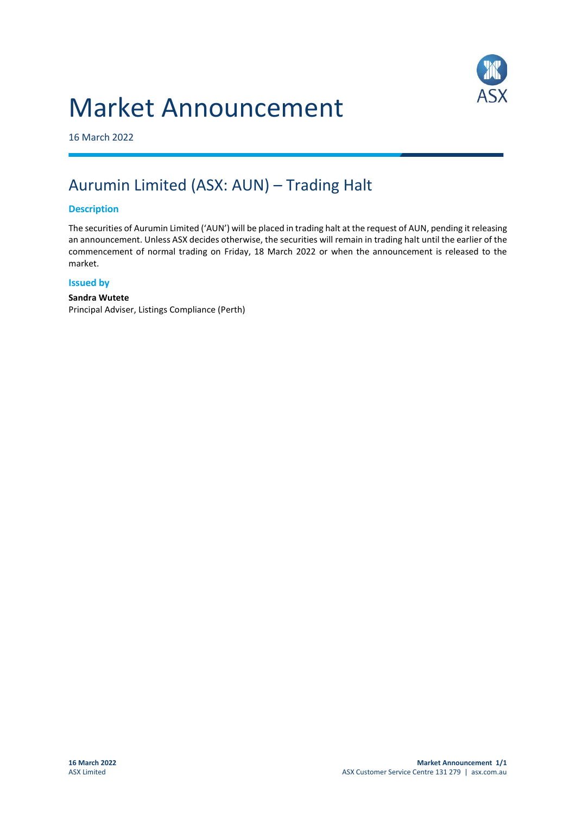# Market Announcement



16 March 2022

## Aurumin Limited (ASX: AUN) – Trading Halt

#### **Description**

The securities of Aurumin Limited ('AUN') will be placed in trading halt at the request of AUN, pending it releasing an announcement. Unless ASX decides otherwise, the securities will remain in trading halt until the earlier of the commencement of normal trading on Friday, 18 March 2022 or when the announcement is released to the market.

#### **Issued by**

#### **Sandra Wutete**

Principal Adviser, Listings Compliance (Perth)